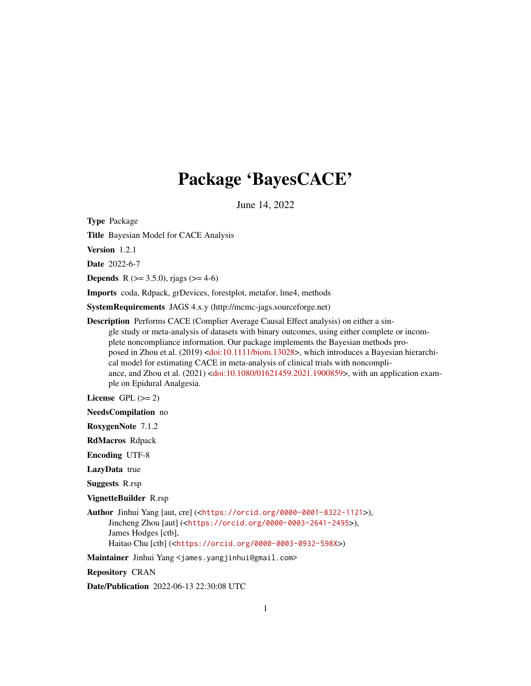# Package 'BayesCACE'

June 14, 2022

Type Package

Title Bayesian Model for CACE Analysis

Version 1.2.1

Date 2022-6-7

**Depends** R ( $>= 3.5.0$ ), rjags ( $>= 4-6$ )

Imports coda, Rdpack, grDevices, forestplot, metafor, lme4, methods

SystemRequirements JAGS 4.x.y (http://mcmc-jags.sourceforge.net)

Description Performs CACE (Complier Average Causal Effect analysis) on either a single study or meta-analysis of datasets with binary outcomes, using either complete or incomplete noncompliance information. Our package implements the Bayesian methods proposed in Zhou et al. (2019) [<doi:10.1111/biom.13028>](https://doi.org/10.1111/biom.13028), which introduces a Bayesian hierarchical model for estimating CACE in meta-analysis of clinical trials with noncompliance, and Zhou et al. (2021) [<doi:10.1080/01621459.2021.1900859>](https://doi.org/10.1080/01621459.2021.1900859), with an application example on Epidural Analgesia.

License GPL  $(>= 2)$ 

NeedsCompilation no

RoxygenNote 7.1.2

RdMacros Rdpack

Encoding UTF-8

LazyData true

Suggests R.rsp

VignetteBuilder R.rsp

Author Jinhui Yang [aut, cre] (<<https://orcid.org/0000-0001-8322-1121>>), Jincheng Zhou [aut] (<<https://orcid.org/0000-0003-2641-2495>>), James Hodges [ctb], Haitao Chu [ctb] (<<https://orcid.org/0000-0003-0932-598X>>)

Maintainer Jinhui Yang <james.yangjinhui@gmail.com>

Repository CRAN

Date/Publication 2022-06-13 22:30:08 UTC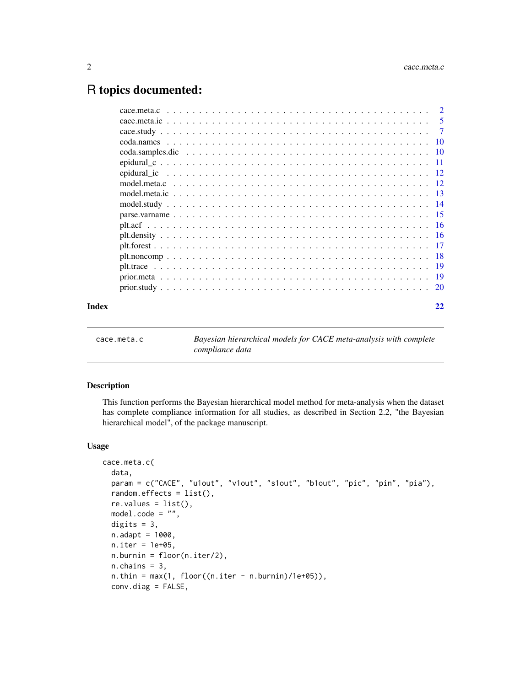# <span id="page-1-0"></span>R topics documented:

|       | $\overline{5}$ |
|-------|----------------|
|       |                |
|       |                |
|       |                |
|       |                |
|       |                |
|       |                |
|       |                |
|       |                |
|       |                |
|       |                |
|       |                |
|       |                |
|       |                |
|       |                |
|       |                |
|       |                |
| Index | 22             |

<span id="page-1-1"></span>

| cace.meta.c |  |  |  |
|-------------|--|--|--|
|             |  |  |  |

ta.c *Bayesian hierarchical models for CACE meta-analysis with complete compliance data*

#### Description

This function performs the Bayesian hierarchical model method for meta-analysis when the dataset has complete compliance information for all studies, as described in Section 2.2, "the Bayesian hierarchical model", of the package manuscript.

```
cace.meta.c(
  data,
  param = c("CACE", "u1out", "v1out", "s1out", "b1out", "pic", "pin", "pia"),
  random.effects = list(),
  re.values = list(),
  model.\code{code = "",digits = 3,
  n.addapt = 1000,n.iter = 1e+05,
  n.burnin = floor(n.iter/2),
  n.chains = 3,
  n.thin = max(1, floor((n.iter - n.burnin)/1e+05)),conv.diag = FALSE,
```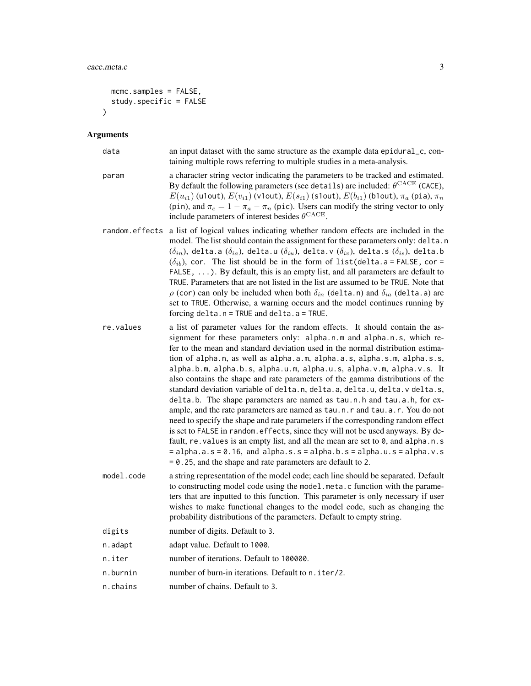```
mcmc.samples = FALSE,
  study.specific = FALSE
\lambda
```
#### Arguments

| data  | an input dataset with the same structure as the example data epidural_c, con-<br>taining multiple rows referring to multiple studies in a meta-analysis.                                                                                                                                                                                                                                                                                                                                                                                                                                                                                                                                                 |
|-------|----------------------------------------------------------------------------------------------------------------------------------------------------------------------------------------------------------------------------------------------------------------------------------------------------------------------------------------------------------------------------------------------------------------------------------------------------------------------------------------------------------------------------------------------------------------------------------------------------------------------------------------------------------------------------------------------------------|
| param | a character string vector indicating the parameters to be tracked and estimated.<br>By default the following parameters (see details) are included: $\theta^{\text{CACE}}$ (CACE),<br>$E(u_{i1})$ (u1out), $E(v_{i1})$ (v1out), $E(s_{i1})$ (s1out), $E(b_{i1})$ (b1out), $\pi_a$ (pia), $\pi_n$<br>(pin), and $\pi_c = 1 - \pi_a - \pi_n$ (pic). Users can modify the string vector to only<br>include parameters of interest besides $\theta^{\text{CACE}}$ .                                                                                                                                                                                                                                          |
|       | random effects a list of logical values indicating whether random effects are included in the<br>model. The list should contain the assignment for these parameters only: delta.n<br>$(\delta_{in})$ , delta.a $(\delta_{ia})$ , delta.u $(\delta_{iu})$ , delta.v $(\delta_{iv})$ , delta.s $(\delta_{is})$ , delta.b<br>$(\delta_{ih})$ , cor. The list should be in the form of list (delta. a = FALSE, cor =<br>$FALSE, \ldots$ ). By default, this is an empty list, and all parameters are default to<br>TRUE. Parameters that are not listed in the list are assumed to be TRUE. Note that<br>$\rho$ (cor) can only be included when both $\delta_{in}$ (delta.n) and $\delta_{ia}$ (delta.a) are |

set to TRUE. Otherwise, a warning occurs and the model continues running by

re.values a list of parameter values for the random effects. It should contain the assignment for these parameters only: alpha.n.m and alpha.n.s, which refer to the mean and standard deviation used in the normal distribution estimation of alpha.n, as well as alpha.a.m, alpha.a.s, alpha.s.m, alpha.s.s, alpha.b.m, alpha.b.s, alpha.u.m, alpha.u.s, alpha.v.m, alpha.v.s. It also contains the shape and rate parameters of the gamma distributions of the standard deviation variable of delta.n, delta.a, delta.u, delta.v delta.s, delta.b. The shape parameters are named as tau.n.h and tau.a.h, for example, and the rate parameters are named as tau.n.r and tau.a.r. You do not need to specify the shape and rate parameters if the corresponding random effect is set to FALSE in random.effects, since they will not be used anyways. By default, re. values is an empty list, and all the mean are set to  $\theta$ , and alpha.n.s  $=$  alpha.a.s = 0.16, and alpha.s.s = alpha.b.s = alpha.u.s = alpha.v.s = 0.25, and the shape and rate parameters are default to 2.

forcing delta.n = TRUE and delta.a = TRUE.

- model.code a string representation of the model code; each line should be separated. Default to constructing model code using the model.meta.c function with the parameters that are inputted to this function. This parameter is only necessary if user wishes to make functional changes to the model code, such as changing the probability distributions of the parameters. Default to empty string.
- digits number of digits. Default to 3.
- n.adapt adapt value. Default to 1000.
- n.iter number of iterations. Default to 100000.
- n.burnin humber of burn-in iterations. Default to n.iter/2.
- n.chains number of chains. Default to 3.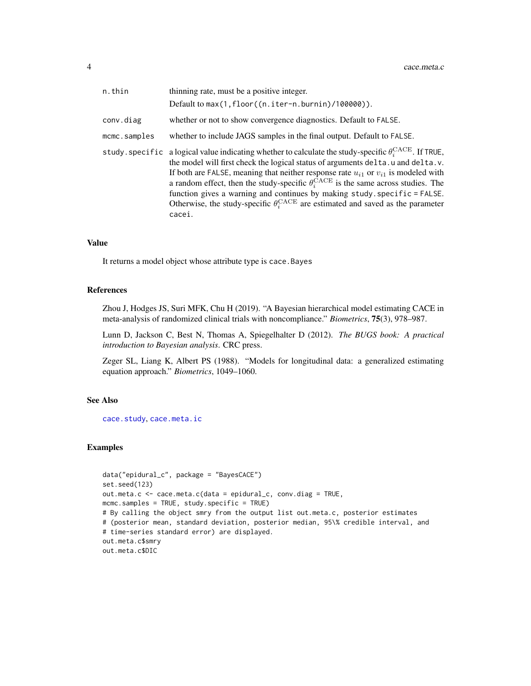<span id="page-3-0"></span>

| n.thin       | thinning rate, must be a positive integer.                                                                                                                                                                                                                                                                                                                                                                                                                                                                                                                                                            |
|--------------|-------------------------------------------------------------------------------------------------------------------------------------------------------------------------------------------------------------------------------------------------------------------------------------------------------------------------------------------------------------------------------------------------------------------------------------------------------------------------------------------------------------------------------------------------------------------------------------------------------|
|              | Default to max(1, floor((n.iter-n.burnin)/100000)).                                                                                                                                                                                                                                                                                                                                                                                                                                                                                                                                                   |
| conv.diag    | whether or not to show convergence diagnostics. Default to FALSE.                                                                                                                                                                                                                                                                                                                                                                                                                                                                                                                                     |
| mcmc.samples | whether to include JAGS samples in the final output. Default to FALSE.                                                                                                                                                                                                                                                                                                                                                                                                                                                                                                                                |
|              | study specific a logical value indicating whether to calculate the study-specific $\theta_c^{\text{CACE}}$ . If TRUE,<br>the model will first check the logical status of arguments delta.u and delta.v.<br>If both are FALSE, meaning that neither response rate $u_{i1}$ or $v_{i1}$ is modeled with<br>a random effect, then the study-specific $\theta_i^{\text{CACE}}$ is the same across studies. The<br>function gives a warning and continues by making study. specific = FALSE.<br>Otherwise, the study-specific $\theta_i^{\text{CACE}}$ are estimated and saved as the parameter<br>cacei. |

#### Value

It returns a model object whose attribute type is cace.Bayes

#### References

Zhou J, Hodges JS, Suri MFK, Chu H (2019). "A Bayesian hierarchical model estimating CACE in meta-analysis of randomized clinical trials with noncompliance." *Biometrics*, 75(3), 978–987.

Lunn D, Jackson C, Best N, Thomas A, Spiegelhalter D (2012). *The BUGS book: A practical introduction to Bayesian analysis*. CRC press.

Zeger SL, Liang K, Albert PS (1988). "Models for longitudinal data: a generalized estimating equation approach." *Biometrics*, 1049–1060.

#### See Also

[cace.study](#page-6-1), [cace.meta.ic](#page-4-1)

#### Examples

```
data("epidural_c", package = "BayesCACE")
set.seed(123)
out.meta.c <- cace.meta.c(data = epidural_c, conv.diag = TRUE,
mcmc.samples = TRUE, study.specific = TRUE)
# By calling the object smry from the output list out.meta.c, posterior estimates
# (posterior mean, standard deviation, posterior median, 95\% credible interval, and
# time-series standard error) are displayed.
out.meta.c$smry
out.meta.c$DIC
```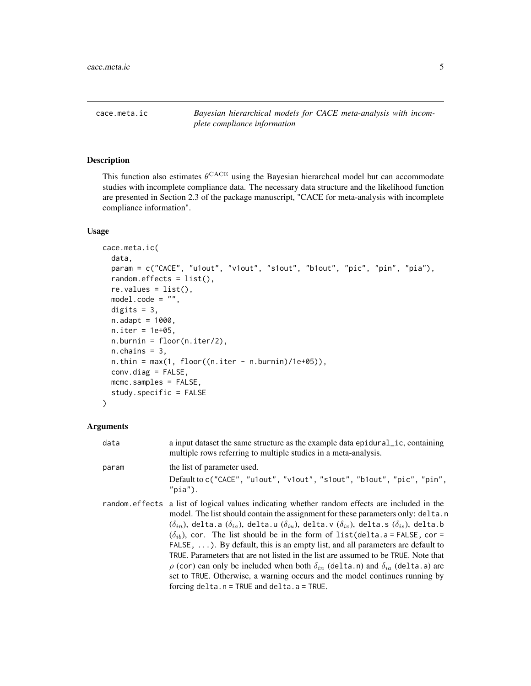<span id="page-4-1"></span><span id="page-4-0"></span>cace.meta.ic *Bayesian hierarchical models for CACE meta-analysis with incomplete compliance information*

#### Description

This function also estimates  $\theta^{\text{CACE}}$  using the Bayesian hierarchcal model but can accommodate studies with incomplete compliance data. The necessary data structure and the likelihood function are presented in Section 2.3 of the package manuscript, "CACE for meta-analysis with incomplete compliance information".

#### Usage

```
cace.meta.ic(
  data,
  param = c("CACE", "u1out", "v1out", "s1out", "b1out", "pic", "pin", "pia"),
  random.effects = list(),
  re.values = list(),
  model.\code = "",digits = 3,
  n.addapt = 1000,n.iter = 1e+05,
  n.burnin = floor(n.iter/2),
  n.chains = 3,
  n.thin = max(1, floor((n.iter - n.burnin)/1e+05)),conv.diag = FALSE,
 mcmc.samples = FALSE,
  study.specific = FALSE
)
```
#### Arguments

| data  | a input dataset the same structure as the example data epidural <i>ic</i> , containing<br>multiple rows referring to multiple studies in a meta-analysis.                                                                                                                                                                                                                                                                                                                                                                                                                                                                                                                                                                                                                                                                                 |
|-------|-------------------------------------------------------------------------------------------------------------------------------------------------------------------------------------------------------------------------------------------------------------------------------------------------------------------------------------------------------------------------------------------------------------------------------------------------------------------------------------------------------------------------------------------------------------------------------------------------------------------------------------------------------------------------------------------------------------------------------------------------------------------------------------------------------------------------------------------|
| param | the list of parameter used.<br>Default to c("CACE", "u1out", "v1out", "s1out", "b1out", "pic", "pin",<br>$"$ pia").                                                                                                                                                                                                                                                                                                                                                                                                                                                                                                                                                                                                                                                                                                                       |
|       | random effects a list of logical values indicating whether random effects are included in the<br>model. The list should contain the assignment for these parameters only: delta.n<br>$(\delta_{in})$ , delta.a $(\delta_{ia})$ , delta.u $(\delta_{iu})$ , delta.v $(\delta_{iv})$ , delta.s $(\delta_{is})$ , delta.b<br>$(\delta_{ih})$ , cor. The list should be in the form of list (delta. a = FALSE, cor =<br>FALSE, $\dots$ ). By default, this is an empty list, and all parameters are default to<br>TRUE. Parameters that are not listed in the list are assumed to be TRUE. Note that<br>$\rho$ (cor) can only be included when both $\delta_{in}$ (delta.n) and $\delta_{ia}$ (delta.a) are<br>set to TRUE. Otherwise, a warning occurs and the model continues running by<br>forcing $delta.n = TRUE$ and $delta.a = TRUE$ . |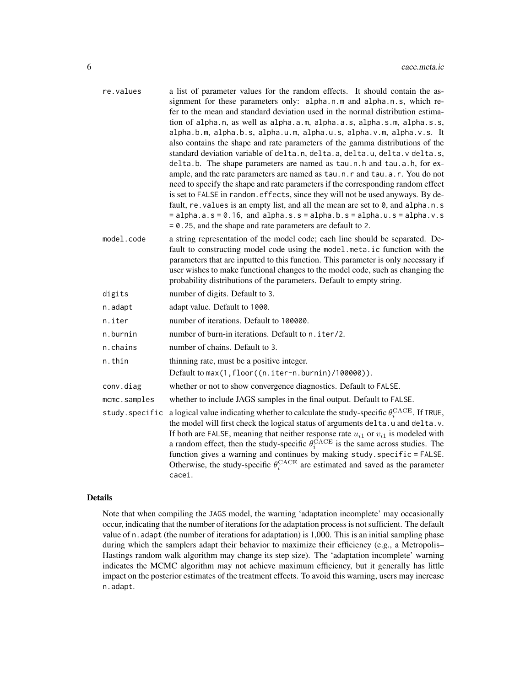| re.values      | a list of parameter values for the random effects. It should contain the as-<br>signment for these parameters only: alpha.n.m and alpha.n.s, which re-<br>fer to the mean and standard deviation used in the normal distribution estima-<br>tion of alpha.n, as well as alpha.a.m, alpha.a.s, alpha.s.m, alpha.s.s,<br>alpha.b.m, alpha.b.s, alpha.u.m, alpha.u.s, alpha.v.m, alpha.v.s. It<br>also contains the shape and rate parameters of the gamma distributions of the<br>standard deviation variable of delta.n, delta.a, delta.u, delta.v delta.s,<br>delta.b. The shape parameters are named as tau.n.h and tau.a.h, for ex-<br>ample, and the rate parameters are named as tau.n.r and tau.a.r. You do not<br>need to specify the shape and rate parameters if the corresponding random effect<br>is set to FALSE in random. effects, since they will not be used anyways. By de-<br>fault, re. values is an empty list, and all the mean are set to 0, and alpha.n.s<br>$=$ alpha.a.s = 0.16, and alpha.s.s = alpha.b.s = alpha.u.s = alpha.v.s<br>$= 0.25$ , and the shape and rate parameters are default to 2. |
|----------------|------------------------------------------------------------------------------------------------------------------------------------------------------------------------------------------------------------------------------------------------------------------------------------------------------------------------------------------------------------------------------------------------------------------------------------------------------------------------------------------------------------------------------------------------------------------------------------------------------------------------------------------------------------------------------------------------------------------------------------------------------------------------------------------------------------------------------------------------------------------------------------------------------------------------------------------------------------------------------------------------------------------------------------------------------------------------------------------------------------------------------|
| model.code     | a string representation of the model code; each line should be separated. De-<br>fault to constructing model code using the model.meta.ic function with the<br>parameters that are inputted to this function. This parameter is only necessary if<br>user wishes to make functional changes to the model code, such as changing the<br>probability distributions of the parameters. Default to empty string.                                                                                                                                                                                                                                                                                                                                                                                                                                                                                                                                                                                                                                                                                                                 |
| digits         | number of digits. Default to 3.                                                                                                                                                                                                                                                                                                                                                                                                                                                                                                                                                                                                                                                                                                                                                                                                                                                                                                                                                                                                                                                                                              |
| n.adapt        | adapt value. Default to 1000.                                                                                                                                                                                                                                                                                                                                                                                                                                                                                                                                                                                                                                                                                                                                                                                                                                                                                                                                                                                                                                                                                                |
| n.iter         | number of iterations. Default to 100000.                                                                                                                                                                                                                                                                                                                                                                                                                                                                                                                                                                                                                                                                                                                                                                                                                                                                                                                                                                                                                                                                                     |
| n.burnin       | number of burn-in iterations. Default to n. iter/2.                                                                                                                                                                                                                                                                                                                                                                                                                                                                                                                                                                                                                                                                                                                                                                                                                                                                                                                                                                                                                                                                          |
| n.chains       | number of chains. Default to 3.                                                                                                                                                                                                                                                                                                                                                                                                                                                                                                                                                                                                                                                                                                                                                                                                                                                                                                                                                                                                                                                                                              |
| n.thin         | thinning rate, must be a positive integer.                                                                                                                                                                                                                                                                                                                                                                                                                                                                                                                                                                                                                                                                                                                                                                                                                                                                                                                                                                                                                                                                                   |
|                | Default to max(1, floor((n.iter-n.burnin)/100000)).                                                                                                                                                                                                                                                                                                                                                                                                                                                                                                                                                                                                                                                                                                                                                                                                                                                                                                                                                                                                                                                                          |
| conv.diag      | whether or not to show convergence diagnostics. Default to FALSE.                                                                                                                                                                                                                                                                                                                                                                                                                                                                                                                                                                                                                                                                                                                                                                                                                                                                                                                                                                                                                                                            |
| mcmc.samples   | whether to include JAGS samples in the final output. Default to FALSE.                                                                                                                                                                                                                                                                                                                                                                                                                                                                                                                                                                                                                                                                                                                                                                                                                                                                                                                                                                                                                                                       |
| study.specific | a logical value indicating whether to calculate the study-specific $\theta_i^{\text{CACE}}$ . If TRUE,<br>the model will first check the logical status of arguments delta.u and delta.v.<br>If both are FALSE, meaning that neither response rate $u_{i1}$ or $v_{i1}$ is modeled with<br>a random effect, then the study-specific $\theta_i^{\text{CACE}}$ is the same across studies. The<br>function gives a warning and continues by making study. specific = FALSE.<br>Otherwise, the study-specific $\theta_i^{\text{CACE}}$ are estimated and saved as the parameter<br>cacei.                                                                                                                                                                                                                                                                                                                                                                                                                                                                                                                                       |

#### Details

Note that when compiling the JAGS model, the warning 'adaptation incomplete' may occasionally occur, indicating that the number of iterations for the adaptation process is not sufficient. The default value of n. adapt (the number of iterations for adaptation) is 1,000. This is an initial sampling phase during which the samplers adapt their behavior to maximize their efficiency (e.g., a Metropolis– Hastings random walk algorithm may change its step size). The 'adaptation incomplete' warning indicates the MCMC algorithm may not achieve maximum efficiency, but it generally has little impact on the posterior estimates of the treatment effects. To avoid this warning, users may increase n.adapt.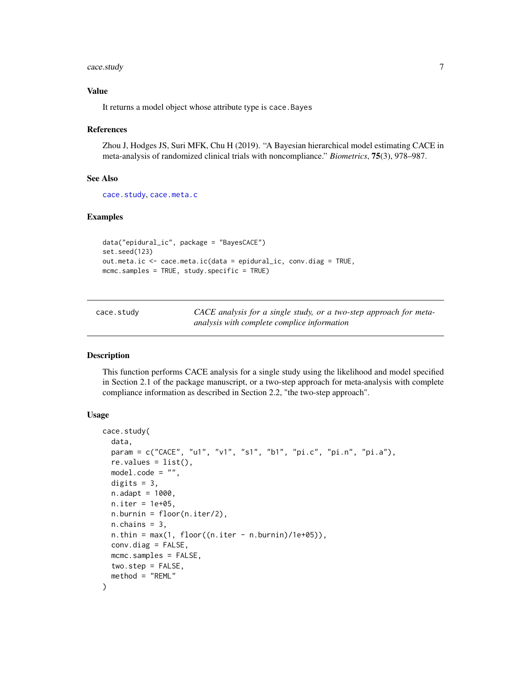#### <span id="page-6-0"></span>cace.study 7

#### Value

It returns a model object whose attribute type is cace.Bayes

#### References

Zhou J, Hodges JS, Suri MFK, Chu H (2019). "A Bayesian hierarchical model estimating CACE in meta-analysis of randomized clinical trials with noncompliance." *Biometrics*, 75(3), 978–987.

#### See Also

[cace.study](#page-6-1), [cace.meta.c](#page-1-1)

#### Examples

```
data("epidural_ic", package = "BayesCACE")
set.seed(123)
out.meta.ic <- cace.meta.ic(data = epidural_ic, conv.diag = TRUE,
mcmc.samples = TRUE, study.specific = TRUE)
```
<span id="page-6-1"></span>cace.study *CACE analysis for a single study, or a two-step approach for metaanalysis with complete complice information*

#### Description

This function performs CACE analysis for a single study using the likelihood and model specified in Section 2.1 of the package manuscript, or a two-step approach for meta-analysis with complete compliance information as described in Section 2.2, "the two-step approach".

```
cace.study(
  data,
  param = c("CACE", "u1", "v1", "s1", "b1", "pi.c", "pi.n", "pi.a"),
  re.values = list(),
 model.code = "",
 digits = 3,
  n.addapt = 1000,n.iter = 1e+05,
 n.burnin = floor(n.iter/2),
 n.chains = 3,
  n.thin = max(1, floor((n.iter - n.burnin)/1e+05)),conv.diag = FALSE,
 mcmc.samples = FALSE,
 two.step = FALSE,
  method = "REML"
)
```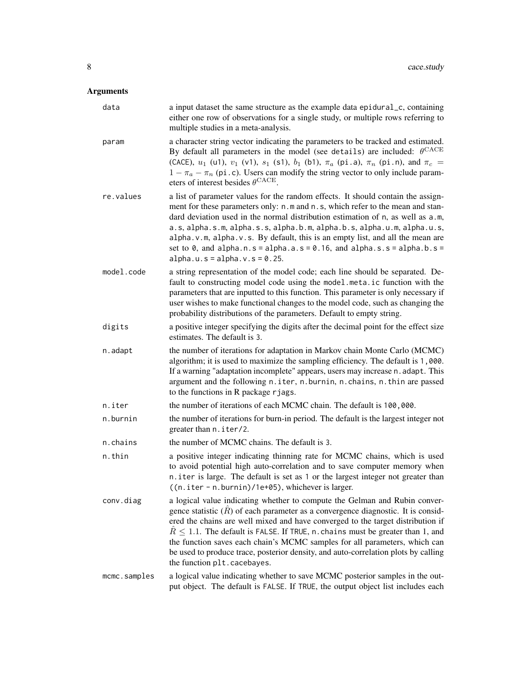# Arguments

| data         | a input dataset the same structure as the example data epidural_c, containing<br>either one row of observations for a single study, or multiple rows referring to<br>multiple studies in a meta-analysis.                                                                                                                                                                                                                                                                                                                                     |
|--------------|-----------------------------------------------------------------------------------------------------------------------------------------------------------------------------------------------------------------------------------------------------------------------------------------------------------------------------------------------------------------------------------------------------------------------------------------------------------------------------------------------------------------------------------------------|
| param        | a character string vector indicating the parameters to be tracked and estimated.<br>By default all parameters in the model (see details) are included: $\theta^{\text{CACE}}$<br>(CACE), $u_1$ (u1), $v_1$ (v1), $s_1$ (s1), $b_1$ (b1), $\pi_a$ (pi.a), $\pi_n$ (pi.n), and $\pi_c$ =<br>$1 - \pi_a - \pi_n$ (pi.c). Users can modify the string vector to only include param-<br>eters of interest besides $\theta^{\text{CACE}}$ .                                                                                                         |
| re.values    | a list of parameter values for the random effects. It should contain the assign-<br>ment for these parameters only: n.m and n.s, which refer to the mean and stan-<br>dard deviation used in the normal distribution estimation of n, as well as a.m,<br>a.s, alpha.s.m, alpha.s.s, alpha.b.m, alpha.b.s, alpha.u.m, alpha.u.s,<br>alpha. v.m, alpha. v.s. By default, this is an empty list, and all the mean are<br>set to 0, and alpha.n.s = alpha.a.s = 0.16, and alpha.s.s = alpha.b.s =<br>$alpha.u.s = alpha.v.s = 0.25.$              |
| model.code   | a string representation of the model code; each line should be separated. De-<br>fault to constructing model code using the model.meta.ic function with the<br>parameters that are inputted to this function. This parameter is only necessary if<br>user wishes to make functional changes to the model code, such as changing the<br>probability distributions of the parameters. Default to empty string.                                                                                                                                  |
| digits       | a positive integer specifying the digits after the decimal point for the effect size<br>estimates. The default is 3.                                                                                                                                                                                                                                                                                                                                                                                                                          |
| n.adapt      | the number of iterations for adaptation in Markov chain Monte Carlo (MCMC)<br>algorithm; it is used to maximize the sampling efficiency. The default is 1,000.<br>If a warning "adaptation incomplete" appears, users may increase n. adapt. This<br>argument and the following n.iter, n.burnin, n.chains, n.thin are passed<br>to the functions in R package rjags.                                                                                                                                                                         |
| n.iter       | the number of iterations of each MCMC chain. The default is 100,000.                                                                                                                                                                                                                                                                                                                                                                                                                                                                          |
| n.burnin     | the number of iterations for burn-in period. The default is the largest integer not<br>greater than n. iter/2.                                                                                                                                                                                                                                                                                                                                                                                                                                |
| n.chains     | the number of MCMC chains. The default is 3.                                                                                                                                                                                                                                                                                                                                                                                                                                                                                                  |
| n.thin       | a positive integer indicating thinning rate for MCMC chains, which is used<br>to avoid potential high auto-correlation and to save computer memory when<br>n.iter is large. The default is set as 1 or the largest integer not greater than<br>((n.iter - n.burnin)/1e+05), whichever is larger.                                                                                                                                                                                                                                              |
| conv.diag    | a logical value indicating whether to compute the Gelman and Rubin conver-<br>gence statistic $(R)$ of each parameter as a convergence diagnostic. It is consid-<br>ered the chains are well mixed and have converged to the target distribution if<br>$R \leq 1.1$ . The default is FALSE. If TRUE, n. chains must be greater than 1, and<br>the function saves each chain's MCMC samples for all parameters, which can<br>be used to produce trace, posterior density, and auto-correlation plots by calling<br>the function plt.cacebayes. |
| mcmc.samples | a logical value indicating whether to save MCMC posterior samples in the out-<br>put object. The default is FALSE. If TRUE, the output object list includes each                                                                                                                                                                                                                                                                                                                                                                              |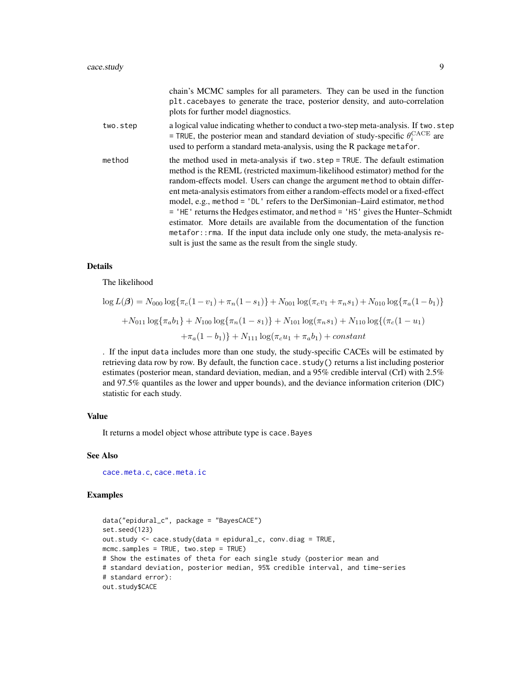<span id="page-8-0"></span>

|          | chain's MCMC samples for all parameters. They can be used in the function<br>plt.cacebayes to generate the trace, posterior density, and auto-correlation<br>plots for further model diagnostics.                                                                                                                                                                                                                                                                                                                                                                                                                                                                                                                                      |
|----------|----------------------------------------------------------------------------------------------------------------------------------------------------------------------------------------------------------------------------------------------------------------------------------------------------------------------------------------------------------------------------------------------------------------------------------------------------------------------------------------------------------------------------------------------------------------------------------------------------------------------------------------------------------------------------------------------------------------------------------------|
| two.step | a logical value indicating whether to conduct a two-step meta-analysis. If two step<br>= TRUE, the posterior mean and standard deviation of study-specific $\theta_i^{\text{CACE}}$ are<br>used to perform a standard meta-analysis, using the R package metafor.                                                                                                                                                                                                                                                                                                                                                                                                                                                                      |
| method   | the method used in meta-analysis if two.step = TRUE. The default estimation<br>method is the REML (restricted maximum-likelihood estimator) method for the<br>random-effects model. Users can change the argument method to obtain differ-<br>ent meta-analysis estimators from either a random-effects model or a fixed-effect<br>model, e.g., method = 'DL' refers to the DerSimonian-Laird estimator, method<br>$=$ 'HE' returns the Hedges estimator, and method $=$ 'HS' gives the Hunter-Schmidt<br>estimator. More details are available from the documentation of the function<br>metafor:: rma. If the input data include only one study, the meta-analysis re-<br>sult is just the same as the result from the single study. |

#### Details

The likelihood

$$
\log L(\beta) = N_{000} \log \{\pi_c (1 - v_1) + \pi_n (1 - s_1)\} + N_{001} \log (\pi_c v_1 + \pi_n s_1) + N_{010} \log \{\pi_a (1 - b_1)\}
$$

$$
+ N_{011} \log \{\pi_a b_1\} + N_{100} \log \{\pi_n (1 - s_1)\} + N_{101} \log (\pi_n s_1) + N_{110} \log \{(\pi_c (1 - u_1) + \pi_a (1 - b_1)\} + N_{111} \log (\pi_c u_1 + \pi_a b_1) + constant
$$

. If the input data includes more than one study, the study-specific CACEs will be estimated by retrieving data row by row. By default, the function cace.study() returns a list including posterior estimates (posterior mean, standard deviation, median, and a 95% credible interval (CrI) with 2.5% and 97.5% quantiles as the lower and upper bounds), and the deviance information criterion (DIC) statistic for each study.

#### Value

It returns a model object whose attribute type is cace.Bayes

#### See Also

[cace.meta.c](#page-1-1), [cace.meta.ic](#page-4-1)

#### Examples

```
data("epidural_c", package = "BayesCACE")
set.seed(123)
out.study <- cace.study(data = epidural_c, conv.diag = TRUE,
mcmc.samples = TRUE, two.step = TRUE)
# Show the estimates of theta for each single study (posterior mean and
# standard deviation, posterior median, 95% credible interval, and time-series
# standard error):
out.study$CACE
```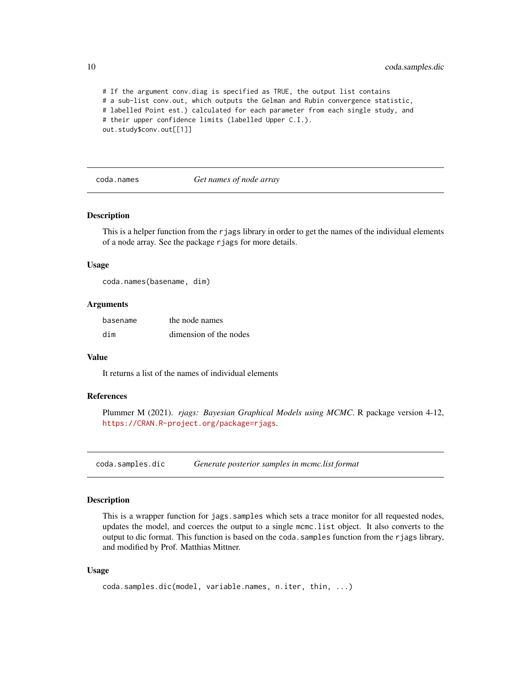# If the argument conv.diag is specified as TRUE, the output list contains # a sub-list conv.out, which outputs the Gelman and Rubin convergence statistic, # labelled Point est.) calculated for each parameter from each single study, and # their upper confidence limits (labelled Upper C.I.). out.study\$conv.out[[1]]

coda.names *Get names of node array*

#### **Description**

This is a helper function from the rjags library in order to get the names of the individual elements of a node array. See the package rjags for more details.

#### Usage

coda.names(basename, dim)

#### Arguments

| basename | the node names         |
|----------|------------------------|
| dim      | dimension of the nodes |

#### Value

It returns a list of the names of individual elements

#### References

Plummer M (2021). *rjags: Bayesian Graphical Models using MCMC*. R package version 4-12, <https://CRAN.R-project.org/package=rjags>.

coda.samples.dic *Generate posterior samples in mcmc.list format*

#### Description

This is a wrapper function for jags.samples which sets a trace monitor for all requested nodes, updates the model, and coerces the output to a single mcmc.list object. It also converts to the output to dic format. This function is based on the coda.samples function from the rjags library, and modified by Prof. Matthias Mittner.

```
coda.samples.dic(model, variable.names, n.iter, thin, ...)
```
<span id="page-9-0"></span>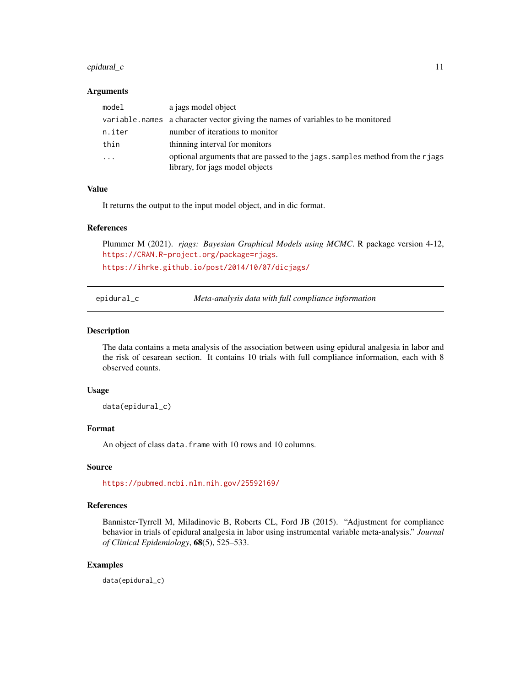#### <span id="page-10-0"></span>epidural\_c 11

#### Arguments

| model    | a jags model object                                                                                              |
|----------|------------------------------------------------------------------------------------------------------------------|
|          | variable.names a character vector giving the names of variables to be monitored                                  |
| n.iter   | number of iterations to monitor                                                                                  |
| thin     | thinning interval for monitors                                                                                   |
| $\cdots$ | optional arguments that are passed to the jags. samples method from the riags<br>library, for jags model objects |

#### Value

It returns the output to the input model object, and in dic format.

#### References

Plummer M (2021). *rjags: Bayesian Graphical Models using MCMC*. R package version 4-12, <https://CRAN.R-project.org/package=rjags>. <https://ihrke.github.io/post/2014/10/07/dicjags/>

epidural\_c *Meta-analysis data with full compliance information*

#### Description

The data contains a meta analysis of the association between using epidural analgesia in labor and the risk of cesarean section. It contains 10 trials with full compliance information, each with 8 observed counts.

#### Usage

data(epidural\_c)

#### Format

An object of class data.frame with 10 rows and 10 columns.

#### Source

<https://pubmed.ncbi.nlm.nih.gov/25592169/>

#### References

Bannister-Tyrrell M, Miladinovic B, Roberts CL, Ford JB (2015). "Adjustment for compliance behavior in trials of epidural analgesia in labor using instrumental variable meta-analysis." *Journal of Clinical Epidemiology*, 68(5), 525–533.

#### Examples

data(epidural\_c)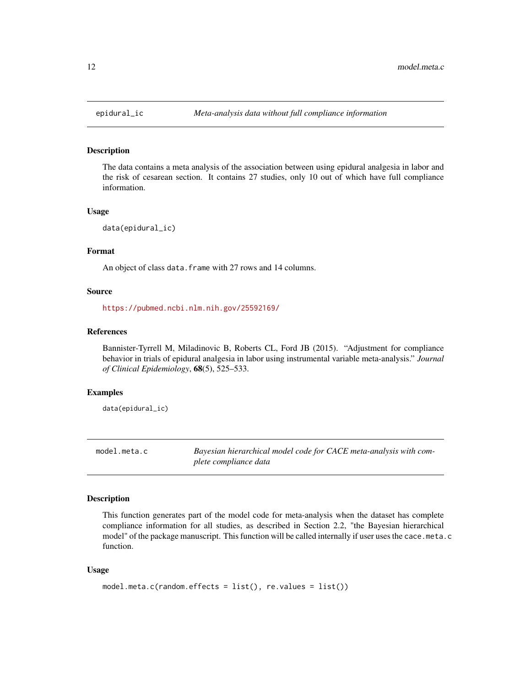<span id="page-11-0"></span>

#### Description

The data contains a meta analysis of the association between using epidural analgesia in labor and the risk of cesarean section. It contains 27 studies, only 10 out of which have full compliance information.

#### Usage

data(epidural\_ic)

#### Format

An object of class data. frame with 27 rows and 14 columns.

#### Source

<https://pubmed.ncbi.nlm.nih.gov/25592169/>

#### References

Bannister-Tyrrell M, Miladinovic B, Roberts CL, Ford JB (2015). "Adjustment for compliance behavior in trials of epidural analgesia in labor using instrumental variable meta-analysis." *Journal of Clinical Epidemiology*, 68(5), 525–533.

#### Examples

data(epidural\_ic)

model.meta.c *Bayesian hierarchical model code for CACE meta-analysis with complete compliance data*

#### Description

This function generates part of the model code for meta-analysis when the dataset has complete compliance information for all studies, as described in Section 2.2, "the Bayesian hierarchical model" of the package manuscript. This function will be called internally if user uses the cace.meta.c function.

```
model.meta.c(random.effects = list(), re.values = list())
```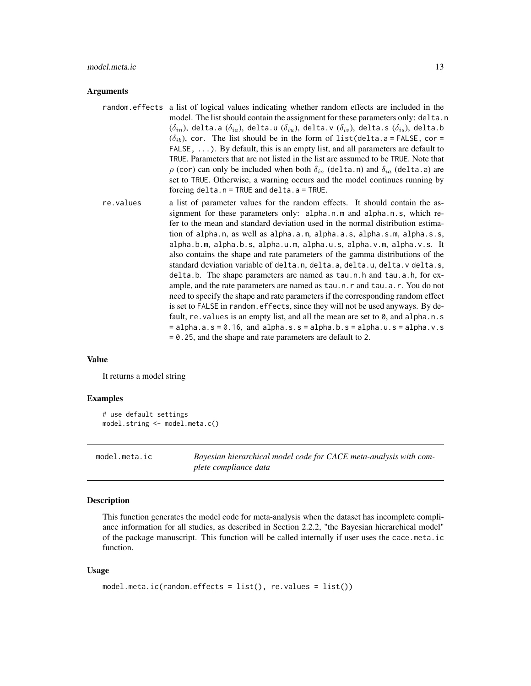#### <span id="page-12-0"></span>model.meta.ic 13

#### Arguments

- random.effects a list of logical values indicating whether random effects are included in the model. The list should contain the assignment for these parameters only: delta.n  $(\delta_{in})$ , delta.a  $(\delta_{ia})$ , delta.u  $(\delta_{iu})$ , delta.v  $(\delta_{iv})$ , delta.s  $(\delta_{is})$ , delta.b  $(\delta_{ib})$ , cor. The list should be in the form of list(delta.a = FALSE, cor = FALSE, ...). By default, this is an empty list, and all parameters are default to TRUE. Parameters that are not listed in the list are assumed to be TRUE. Note that  $\rho$  (cor) can only be included when both  $\delta_{in}$  (delta.n) and  $\delta_{ia}$  (delta.a) are set to TRUE. Otherwise, a warning occurs and the model continues running by forcing delta.n = TRUE and delta.a = TRUE.
- re.values a list of parameter values for the random effects. It should contain the assignment for these parameters only: alpha.n.m and alpha.n.s, which refer to the mean and standard deviation used in the normal distribution estimation of alpha.n, as well as alpha.a.m, alpha.a.s, alpha.s.m, alpha.s.s, alpha.b.m, alpha.b.s, alpha.u.m, alpha.u.s, alpha.v.m, alpha.v.s. It also contains the shape and rate parameters of the gamma distributions of the standard deviation variable of delta.n, delta.a, delta.u, delta.v delta.s, delta.b. The shape parameters are named as tau.n.h and tau.a.h, for example, and the rate parameters are named as tau.n.r and tau.a.r. You do not need to specify the shape and rate parameters if the corresponding random effect is set to FALSE in random.effects, since they will not be used anyways. By default, re. values is an empty list, and all the mean are set to 0, and alpha.n.s  $=$  alpha.a.s = 0.16, and alpha.s.s = alpha.b.s = alpha.u.s = alpha.v.s = 0.25, and the shape and rate parameters are default to 2.

#### Value

It returns a model string

#### Examples

```
# use default settings
model.string <- model.meta.c()
```
model.meta.ic *Bayesian hierarchical model code for CACE meta-analysis with complete compliance data*

#### Description

This function generates the model code for meta-analysis when the dataset has incomplete compliance information for all studies, as described in Section 2.2.2, "the Bayesian hierarchical model" of the package manuscript. This function will be called internally if user uses the cace.meta.ic function.

```
model.meta.ic(random.effects = list(), re.values = list())
```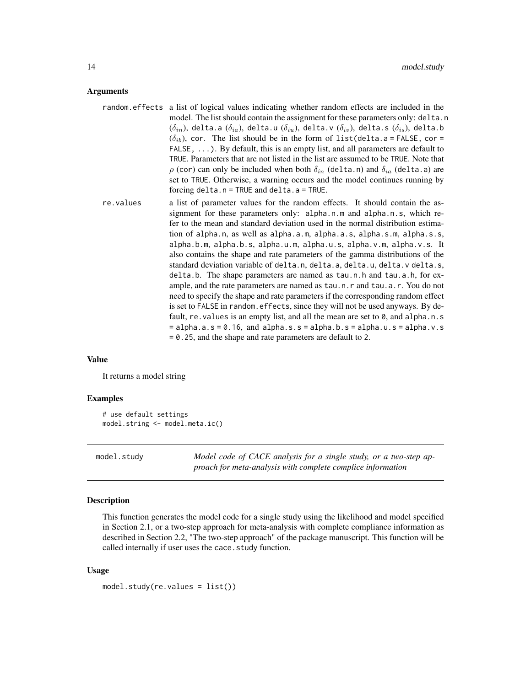#### <span id="page-13-0"></span>Arguments

- random.effects a list of logical values indicating whether random effects are included in the model. The list should contain the assignment for these parameters only: delta.n  $(\delta_{in})$ , delta.a  $(\delta_{ia})$ , delta.u  $(\delta_{iu})$ , delta.v  $(\delta_{iv})$ , delta.s  $(\delta_{is})$ , delta.b  $(\delta_{ib})$ , cor. The list should be in the form of list(delta.a = FALSE, cor = FALSE, ...). By default, this is an empty list, and all parameters are default to TRUE. Parameters that are not listed in the list are assumed to be TRUE. Note that  $\rho$  (cor) can only be included when both  $\delta_{in}$  (delta.n) and  $\delta_{ia}$  (delta.a) are set to TRUE. Otherwise, a warning occurs and the model continues running by forcing delta.n = TRUE and delta.a = TRUE.
- re.values a list of parameter values for the random effects. It should contain the assignment for these parameters only: alpha.n.m and alpha.n.s, which refer to the mean and standard deviation used in the normal distribution estimation of alpha.n, as well as alpha.a.m, alpha.a.s, alpha.s.m, alpha.s.s, alpha.b.m, alpha.b.s, alpha.u.m, alpha.u.s, alpha.v.m, alpha.v.s. It also contains the shape and rate parameters of the gamma distributions of the standard deviation variable of delta.n, delta.a, delta.u, delta.v delta.s, delta.b. The shape parameters are named as tau.n.h and tau.a.h, for example, and the rate parameters are named as tau.n.r and tau.a.r. You do not need to specify the shape and rate parameters if the corresponding random effect is set to FALSE in random.effects, since they will not be used anyways. By default, re. values is an empty list, and all the mean are set to  $\theta$ , and alpha.n.s  $=$  alpha.a.s = 0.16, and alpha.s.s = alpha.b.s = alpha.u.s = alpha.v.s = 0.25, and the shape and rate parameters are default to 2.

#### Value

It returns a model string

#### Examples

```
# use default settings
model.string <- model.meta.ic()
```
model.study *Model code of CACE analysis for a single study, or a two-step approach for meta-analysis with complete complice information*

#### Description

This function generates the model code for a single study using the likelihood and model specified in Section 2.1, or a two-step approach for meta-analysis with complete compliance information as described in Section 2.2, "The two-step approach" of the package manuscript. This function will be called internally if user uses the cace.study function.

```
model.study(re.values = list())
```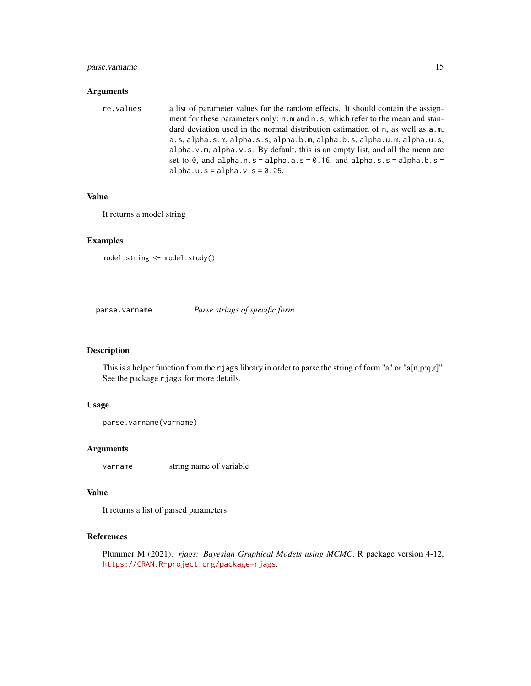#### <span id="page-14-0"></span>parse.varname 15

#### Arguments

| re.values | a list of parameter values for the random effects. It should contain the assign-                  |
|-----------|---------------------------------------------------------------------------------------------------|
|           | ment for these parameters only: n.m and n.s, which refer to the mean and stan-                    |
|           | dard deviation used in the normal distribution estimation of n, as well as a.m.                   |
|           | $a.s.$ alpha.s.m. alpha.s.s. alpha.b.m. alpha.b.s. alpha.u.m. alpha.u.s.                          |
|           | alpha. $v \cdot m$ , alpha. $v \cdot s$ . By default, this is an empty list, and all the mean are |
|           | set to 0, and alpha.n.s = alpha.a.s = $0.16$ , and alpha.s.s = alpha.b.s =                        |
|           | alpha.u.s = alpha.v.s = $0.25$ .                                                                  |

#### Value

It returns a model string

#### Examples

model.string <- model.study()

parse.varname *Parse strings of specific form*

#### Description

This is a helper function from the rjags library in order to parse the string of form "a" or "a[n,p:q,r]". See the package rjags for more details.

#### Usage

```
parse.varname(varname)
```
#### Arguments

varname string name of variable

#### Value

It returns a list of parsed parameters

### References

Plummer M (2021). *rjags: Bayesian Graphical Models using MCMC*. R package version 4-12, <https://CRAN.R-project.org/package=rjags>.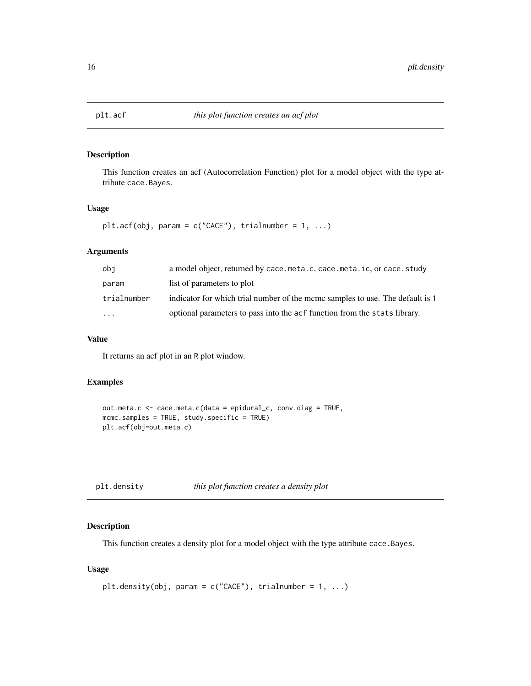<span id="page-15-0"></span>

#### Description

This function creates an acf (Autocorrelation Function) plot for a model object with the type attribute cace.Bayes.

#### Usage

```
plt.acf(obj, param = c("CACE"), trialnumber = 1, ...)
```
#### Arguments

| obi         | a model object, returned by cace.meta.c, cace.meta.ic, or cace.study          |
|-------------|-------------------------------------------------------------------------------|
| param       | list of parameters to plot                                                    |
| trialnumber | indicator for which trial number of the mcmc samples to use. The default is 1 |
| $\cdots$    | optional parameters to pass into the acf function from the stats library.     |

#### Value

It returns an acf plot in an R plot window.

#### Examples

```
out.meta.c <- cace.meta.c(data = epidural_c, conv.diag = TRUE,
mcmc.samples = TRUE, study.specific = TRUE)
plt.acf(obj=out.meta.c)
```
#### Description

This function creates a density plot for a model object with the type attribute cace.Bayes.

```
plt.density(obj, param = c("CACE"), trialnumber = 1, ...)
```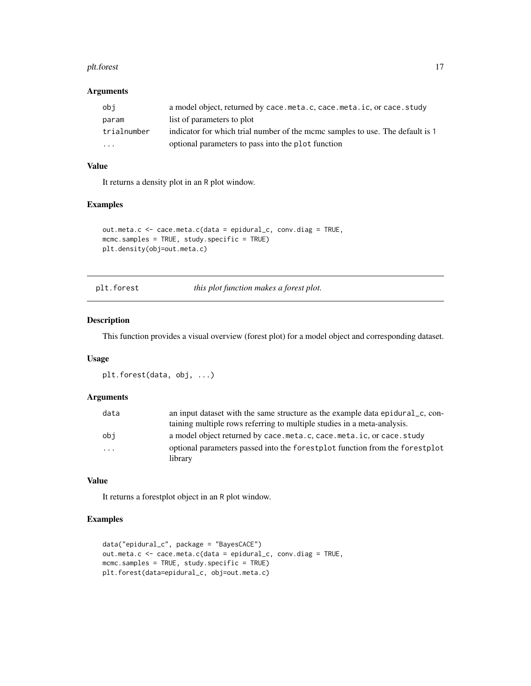#### <span id="page-16-0"></span>plt.forest that the contract of the contract of the contract of the contract of the contract of the contract of the contract of the contract of the contract of the contract of the contract of the contract of the contract o

#### Arguments

| obi         | a model object, returned by cace.meta.c, cace.meta.ic, or cace.study          |
|-------------|-------------------------------------------------------------------------------|
| param       | list of parameters to plot                                                    |
| trialnumber | indicator for which trial number of the mcmc samples to use. The default is 1 |
| $\cdots$    | optional parameters to pass into the plot function                            |

#### Value

It returns a density plot in an R plot window.

#### Examples

```
out.meta.c <- cace.meta.c(data = epidural_c, conv.diag = TRUE,
mcmc.samples = TRUE, study.specific = TRUE)
plt.density(obj=out.meta.c)
```
plt.forest *this plot function makes a forest plot.*

#### Description

This function provides a visual overview (forest plot) for a model object and corresponding dataset.

#### Usage

```
plt.forest(data, obj, ...)
```
#### Arguments

| data                    | an input dataset with the same structure as the example data epidural_c, con- |
|-------------------------|-------------------------------------------------------------------------------|
|                         | taining multiple rows referring to multiple studies in a meta-analysis.       |
| obi                     | a model object returned by cace.meta.c, cace.meta.ic, or cace.study           |
| $\cdot$ $\cdot$ $\cdot$ | optional parameters passed into the forest plot function from the forest plot |
|                         | library                                                                       |

#### Value

It returns a forestplot object in an R plot window.

#### Examples

```
data("epidural_c", package = "BayesCACE")
out.meta.c <- cace.meta.c(data = epidural_c, conv.diag = TRUE,
mcmc.samples = TRUE, study.specific = TRUE)
plt.forest(data=epidural_c, obj=out.meta.c)
```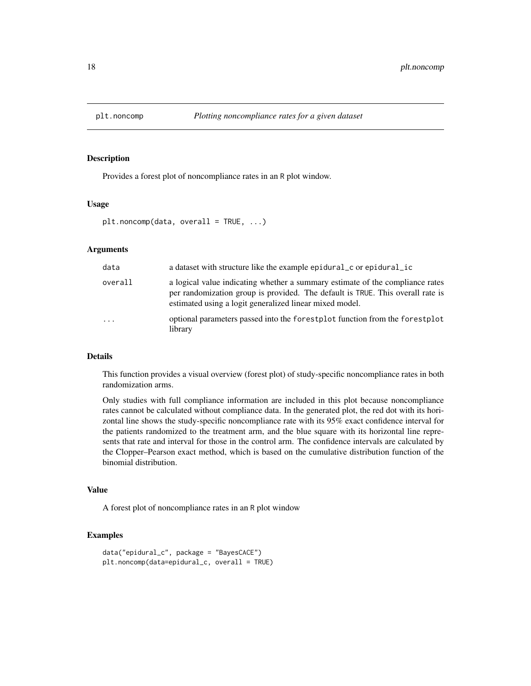<span id="page-17-0"></span>

#### Description

Provides a forest plot of noncompliance rates in an R plot window.

#### Usage

```
plt.noncomp(data, overall = TRUE, ...)
```
#### Arguments

| data     | a dataset with structure like the example epidural c or epidural ic                                                                                                                                                        |
|----------|----------------------------------------------------------------------------------------------------------------------------------------------------------------------------------------------------------------------------|
| overall  | a logical value indicating whether a summary estimate of the compliance rates<br>per randomization group is provided. The default is TRUE. This overall rate is<br>estimated using a logit generalized linear mixed model. |
| $\cdots$ | optional parameters passed into the forestplot function from the forestplot<br>library                                                                                                                                     |

#### Details

This function provides a visual overview (forest plot) of study-specific noncompliance rates in both randomization arms.

Only studies with full compliance information are included in this plot because noncompliance rates cannot be calculated without compliance data. In the generated plot, the red dot with its horizontal line shows the study-specific noncompliance rate with its 95% exact confidence interval for the patients randomized to the treatment arm, and the blue square with its horizontal line represents that rate and interval for those in the control arm. The confidence intervals are calculated by the Clopper–Pearson exact method, which is based on the cumulative distribution function of the binomial distribution.

#### Value

A forest plot of noncompliance rates in an R plot window

#### Examples

```
data("epidural_c", package = "BayesCACE")
plt.noncomp(data=epidural_c, overall = TRUE)
```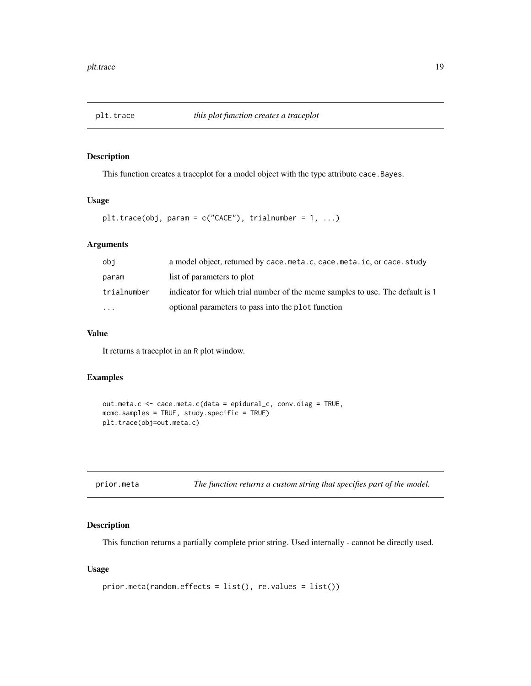<span id="page-18-0"></span>

#### Description

This function creates a traceplot for a model object with the type attribute cace.Bayes.

#### Usage

```
plt.trace(obj, param = c("CACE"), trialnumber = 1, ...)
```
#### Arguments

| obi         | a model object, returned by cace.meta.c, cace.meta.ic, or cace.study          |
|-------------|-------------------------------------------------------------------------------|
| param       | list of parameters to plot                                                    |
| trialnumber | indicator for which trial number of the mcmc samples to use. The default is 1 |
| $\cdots$    | optional parameters to pass into the plot function                            |

#### Value

It returns a traceplot in an R plot window.

#### Examples

```
out.meta.c <- cace.meta.c(data = epidural_c, conv.diag = TRUE,
mcmc.samples = TRUE, study.specific = TRUE)
plt.trace(obj=out.meta.c)
```

| prior.meta | The function returns a custom string that specifies part of the model. |  |  |
|------------|------------------------------------------------------------------------|--|--|
|------------|------------------------------------------------------------------------|--|--|

#### Description

This function returns a partially complete prior string. Used internally - cannot be directly used.

```
prior.meta(random.effects = list(), re.values = list())
```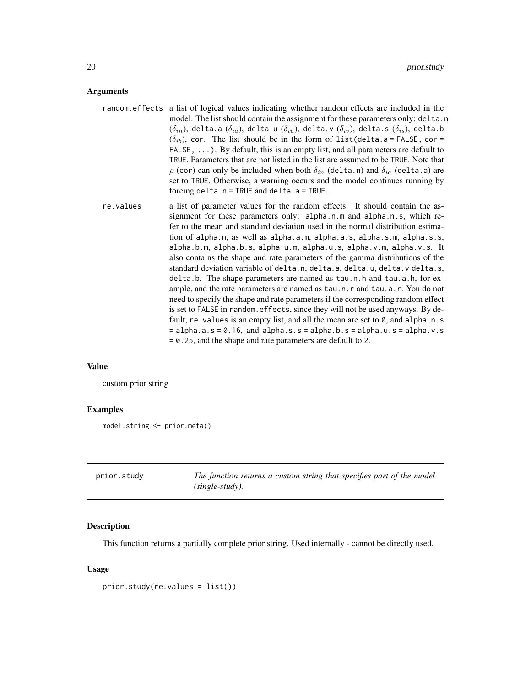#### <span id="page-19-0"></span>Arguments

- random.effects a list of logical values indicating whether random effects are included in the model. The list should contain the assignment for these parameters only: delta.n  $(\delta_{in})$ , delta.a  $(\delta_{ia})$ , delta.u  $(\delta_{iu})$ , delta.v  $(\delta_{iv})$ , delta.s  $(\delta_{is})$ , delta.b  $(\delta_{ib})$ , cor. The list should be in the form of list(delta.a = FALSE, cor = FALSE, ...). By default, this is an empty list, and all parameters are default to TRUE. Parameters that are not listed in the list are assumed to be TRUE. Note that  $\rho$  (cor) can only be included when both  $\delta_{in}$  (delta.n) and  $\delta_{ia}$  (delta.a) are set to TRUE. Otherwise, a warning occurs and the model continues running by forcing delta.n = TRUE and delta.a = TRUE.
- re.values a list of parameter values for the random effects. It should contain the assignment for these parameters only: alpha.n.m and alpha.n.s, which refer to the mean and standard deviation used in the normal distribution estimation of alpha.n, as well as alpha.a.m, alpha.a.s, alpha.s.m, alpha.s.s, alpha.b.m, alpha.b.s, alpha.u.m, alpha.u.s, alpha.v.m, alpha.v.s. It also contains the shape and rate parameters of the gamma distributions of the standard deviation variable of delta.n, delta.a, delta.u, delta.v delta.s, delta.b. The shape parameters are named as tau.n.h and tau.a.h, for example, and the rate parameters are named as tau.n.r and tau.a.r. You do not need to specify the shape and rate parameters if the corresponding random effect is set to FALSE in random.effects, since they will not be used anyways. By default, re. values is an empty list, and all the mean are set to  $\theta$ , and alpha.n.s  $=$  alpha.a.s = 0.16, and alpha.s.s = alpha.b.s = alpha.u.s = alpha.v.s = 0.25, and the shape and rate parameters are default to 2.

#### Value

custom prior string

#### Examples

```
model.string <- prior.meta()
```

| prior.study | The function returns a custom string that specifies part of the model |
|-------------|-----------------------------------------------------------------------|
|             | $(single-study)$ .                                                    |

#### **Description**

This function returns a partially complete prior string. Used internally - cannot be directly used.

```
prior.study(re.values = list())
```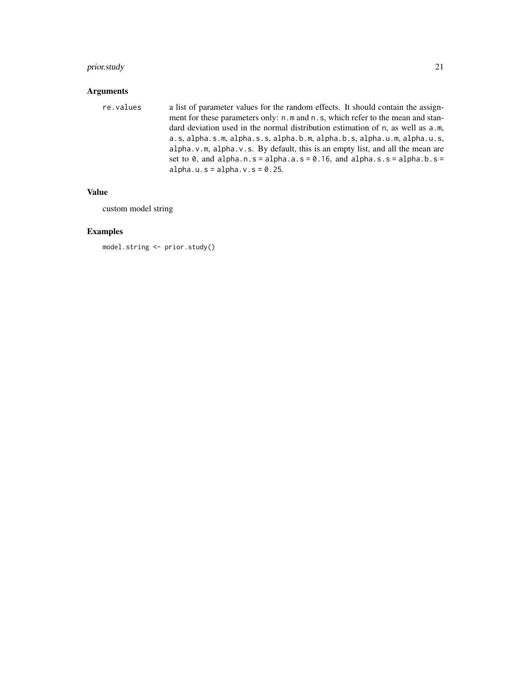#### prior.study 21

# Arguments

| re.values | a list of parameter values for the random effects. It should contain the assign-   |
|-----------|------------------------------------------------------------------------------------|
|           | ment for these parameters only: n, m and n, s, which refer to the mean and stan-   |
|           | dard deviation used in the normal distribution estimation of n, as well as a.m.    |
|           | a.s, alpha.s.m, alpha.s.s, alpha.b.m, alpha.b.s, alpha.u.m, alpha.u.s,             |
|           | $alpha.v.m.$ alpha. $v.s.$ By default, this is an empty list, and all the mean are |
|           | set to 0, and alpha.n.s = alpha.a.s = $0.16$ , and alpha.s.s = alpha.b.s =         |
|           | alpha.u.s = alpha.v.s = $0.25$ .                                                   |
|           |                                                                                    |

#### Value

custom model string

# Examples

model.string <- prior.study()